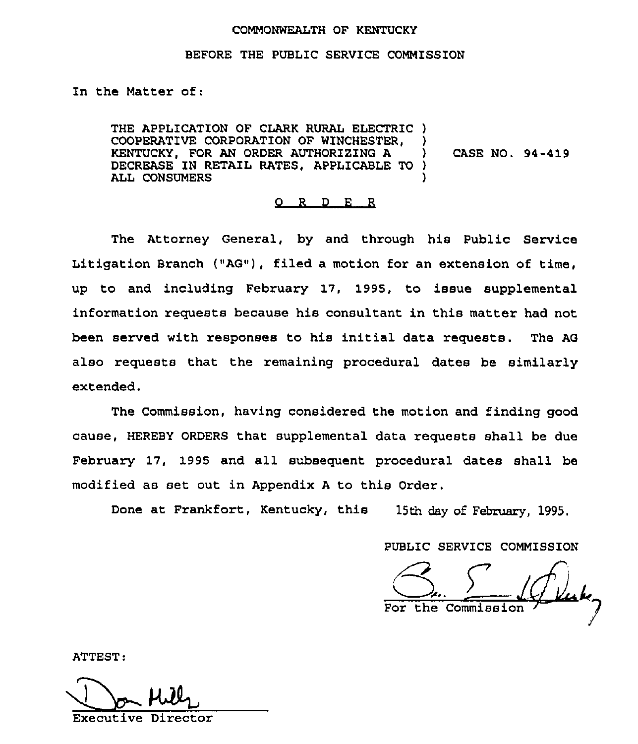## COMMONWEALTH OF KENTUCKY

## BEFORE THE PUBLIC SERVICE COMMISSION

In the Matter of:

THE APPLICATION OF CLARK RURAL ELECTRIC ) COOPERATIVE CORPORATION OF WINCHESTER. KENTUCKY, FOR AN ORDER AUTHORIZING A DECREASE IN RETAIL RATES, APPLICABLE TO ) ALL CONSUMERS CASE NO. 94-419

## 0 R <sup>D</sup> E R

The Attorney General, by and through his Public Service Litigation Branch ("AG"), filed a motion for an extension of time, up to and including February 17, 1995, to issue supplemental information requests because his consultant in this matter had not been served with responses to his initial data requests. The AG also requests that the remaining procedural dates be similarly extended.

The Commission, having considered the motion and finding good cause, HEREBY ORDERS that supplemental data requests shall be due February 17, 1995 and all subsequent procedural dates shall be modified as set out in Appendix <sup>A</sup> to this Order.

Done at Frankfort, Kentucky, this 15th day of February, 1995.

PUBLIC SERVICE COMMISSION

For the Commission

ATTEST

Executive Director